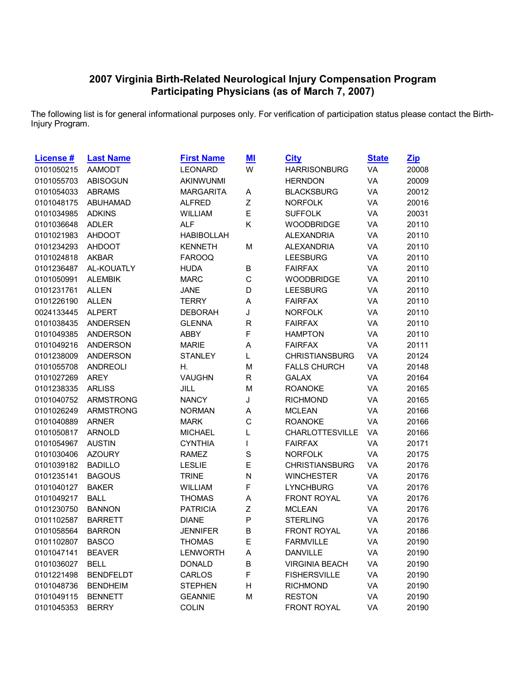## **Virginia Birth-Related Neurological Injury Compensation Program Participating Physicians (as of March 7, 2007)**

The following list is for general informational purposes only. For verification of participation status please contact the Birth-Injury Program.

| <b>License #</b> | <b>Last Name</b> | <b>First Name</b> | $M$          | <b>City</b>           | <b>State</b> | <u>Zip</u> |
|------------------|------------------|-------------------|--------------|-----------------------|--------------|------------|
| 0101050215       | <b>AAMODT</b>    | <b>LEONARD</b>    | W            | <b>HARRISONBURG</b>   | VA           | 20008      |
| 0101055703       | <b>ABISOGUN</b>  | AKINWUNMI         |              | <b>HERNDON</b>        | VA           | 20009      |
| 0101054033       | <b>ABRAMS</b>    | <b>MARGARITA</b>  | Α            | <b>BLACKSBURG</b>     | VA           | 20012      |
| 0101048175       | <b>ABUHAMAD</b>  | <b>ALFRED</b>     | Z            | <b>NORFOLK</b>        | VA           | 20016      |
| 0101034985       | <b>ADKINS</b>    | <b>WILLIAM</b>    | E            | <b>SUFFOLK</b>        | VA           | 20031      |
| 0101036648       | <b>ADLER</b>     | <b>ALF</b>        | Κ            | <b>WOODBRIDGE</b>     | VA           | 20110      |
| 0101021983       | <b>AHDOOT</b>    | <b>HABIBOLLAH</b> |              | <b>ALEXANDRIA</b>     | VA           | 20110      |
| 0101234293       | <b>AHDOOT</b>    | <b>KENNETH</b>    | M            | <b>ALEXANDRIA</b>     | VA           | 20110      |
| 0101024818       | <b>AKBAR</b>     | <b>FAROOQ</b>     |              | <b>LEESBURG</b>       | VA           | 20110      |
| 0101236487       | AL-KOUATLY       | <b>HUDA</b>       | B            | <b>FAIRFAX</b>        | VA           | 20110      |
| 0101050991       | <b>ALEMBIK</b>   | <b>MARC</b>       | $\mathsf{C}$ | <b>WOODBRIDGE</b>     | VA           | 20110      |
| 0101231761       | <b>ALLEN</b>     | <b>JANE</b>       | D            | <b>LEESBURG</b>       | VA           | 20110      |
| 0101226190       | <b>ALLEN</b>     | <b>TERRY</b>      | A            | <b>FAIRFAX</b>        | VA           | 20110      |
| 0024133445       | <b>ALPERT</b>    | <b>DEBORAH</b>    | J            | <b>NORFOLK</b>        | VA           | 20110      |
| 0101038435       | <b>ANDERSEN</b>  | <b>GLENNA</b>     | $\mathsf R$  | <b>FAIRFAX</b>        | VA           | 20110      |
| 0101049385       | <b>ANDERSON</b>  | <b>ABBY</b>       | F            | <b>HAMPTON</b>        | VA           | 20110      |
| 0101049216       | <b>ANDERSON</b>  | <b>MARIE</b>      | A            | <b>FAIRFAX</b>        | VA           | 20111      |
| 0101238009       | <b>ANDERSON</b>  | <b>STANLEY</b>    | L            | <b>CHRISTIANSBURG</b> | VA           | 20124      |
| 0101055708       | <b>ANDREOLI</b>  | Η.                | M            | <b>FALLS CHURCH</b>   | VA           | 20148      |
| 0101027269       | <b>AREY</b>      | <b>VAUGHN</b>     | R            | <b>GALAX</b>          | VA           | 20164      |
| 0101238335       | <b>ARLISS</b>    | JILL              | M            | <b>ROANOKE</b>        | VA           | 20165      |
| 0101040752       | <b>ARMSTRONG</b> | <b>NANCY</b>      | J            | <b>RICHMOND</b>       | VA           | 20165      |
| 0101026249       | <b>ARMSTRONG</b> | <b>NORMAN</b>     | A            | <b>MCLEAN</b>         | VA           | 20166      |
| 0101040889       | <b>ARNER</b>     | <b>MARK</b>       | C            | <b>ROANOKE</b>        | VA           | 20166      |
| 0101050817       | <b>ARNOLD</b>    | <b>MICHAEL</b>    | L            | CHARLOTTESVILLE       | VA           | 20166      |
| 0101054967       | <b>AUSTIN</b>    | <b>CYNTHIA</b>    | L            | <b>FAIRFAX</b>        | VA           | 20171      |
| 0101030406       | <b>AZOURY</b>    | <b>RAMEZ</b>      | $\mathbf S$  | <b>NORFOLK</b>        | VA           | 20175      |
| 0101039182       | <b>BADILLO</b>   | <b>LESLIE</b>     | E            | <b>CHRISTIANSBURG</b> | VA           | 20176      |
| 0101235141       | <b>BAGOUS</b>    | <b>TRINE</b>      | N            | <b>WINCHESTER</b>     | VA           | 20176      |
| 0101040127       | <b>BAKER</b>     | <b>WILLIAM</b>    | F            | <b>LYNCHBURG</b>      | VA           | 20176      |
| 0101049217       | <b>BALL</b>      | <b>THOMAS</b>     | A            | <b>FRONT ROYAL</b>    | VA           | 20176      |
| 0101230750       | <b>BANNON</b>    | <b>PATRICIA</b>   | Ζ            | <b>MCLEAN</b>         | VA           | 20176      |
| 0101102587       | <b>BARRETT</b>   | <b>DIANE</b>      | P            | <b>STERLING</b>       | VA           | 20176      |
| 0101058564       | <b>BARRON</b>    | <b>JENNIFER</b>   | B            | <b>FRONT ROYAL</b>    | VA           | 20186      |
| 0101102807       | <b>BASCO</b>     | <b>THOMAS</b>     | E            | <b>FARMVILLE</b>      | VA           | 20190      |
| 0101047141       | <b>BEAVER</b>    | <b>LENWORTH</b>   | Α            | <b>DANVILLE</b>       | VA           | 20190      |
| 0101036027       | <b>BELL</b>      | <b>DONALD</b>     | B            | <b>VIRGINIA BEACH</b> | VA           | 20190      |
| 0101221498       | <b>BENDFELDT</b> | <b>CARLOS</b>     | F            | <b>FISHERSVILLE</b>   | VA           | 20190      |
| 0101048736       | <b>BENDHEIM</b>  | <b>STEPHEN</b>    | н            | <b>RICHMOND</b>       | VA           | 20190      |
| 0101049115       | <b>BENNETT</b>   | <b>GEANNIE</b>    | M            | <b>RESTON</b>         | VA           | 20190      |
| 0101045353       | <b>BERRY</b>     | <b>COLIN</b>      |              | FRONT ROYAL           | VA           | 20190      |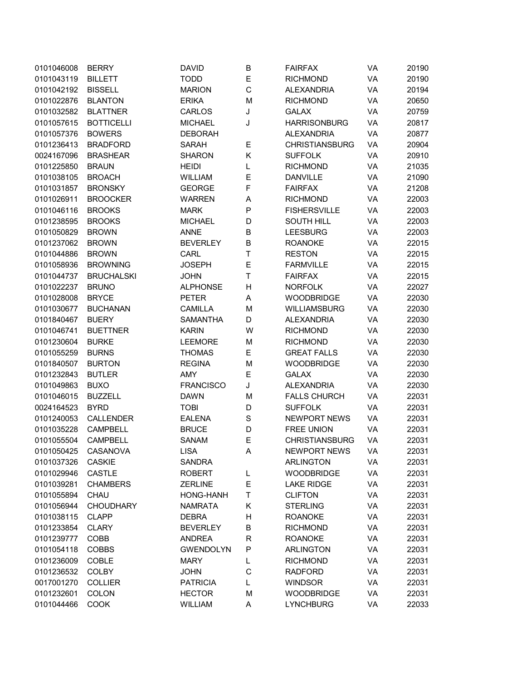| 0101046008 | <b>BERRY</b>      | <b>DAVID</b>     | B | <b>FAIRFAX</b>        | VA | 20190 |
|------------|-------------------|------------------|---|-----------------------|----|-------|
| 0101043119 | <b>BILLETT</b>    | <b>TODD</b>      | E | <b>RICHMOND</b>       | VA | 20190 |
| 0101042192 | <b>BISSELL</b>    | <b>MARION</b>    | C | <b>ALEXANDRIA</b>     | VA | 20194 |
| 0101022876 | <b>BLANTON</b>    | <b>ERIKA</b>     | M | <b>RICHMOND</b>       | VA | 20650 |
| 0101032582 | <b>BLATTNER</b>   | <b>CARLOS</b>    | J | <b>GALAX</b>          | VA | 20759 |
| 0101057615 | <b>BOTTICELLI</b> | <b>MICHAEL</b>   | J | <b>HARRISONBURG</b>   | VA | 20817 |
| 0101057376 | <b>BOWERS</b>     | <b>DEBORAH</b>   |   | <b>ALEXANDRIA</b>     | VA | 20877 |
| 0101236413 | <b>BRADFORD</b>   | <b>SARAH</b>     | Е | <b>CHRISTIANSBURG</b> | VA | 20904 |
| 0024167096 | <b>BRASHEAR</b>   | <b>SHARON</b>    | Κ | <b>SUFFOLK</b>        | VA | 20910 |
| 0101225850 | <b>BRAUN</b>      | <b>HEIDI</b>     | L | <b>RICHMOND</b>       | VA | 21035 |
| 0101038105 | <b>BROACH</b>     | <b>WILLIAM</b>   | E | <b>DANVILLE</b>       | VA | 21090 |
| 0101031857 | <b>BRONSKY</b>    | <b>GEORGE</b>    | F | <b>FAIRFAX</b>        | VA | 21208 |
| 0101026911 | <b>BROOCKER</b>   | <b>WARREN</b>    | A | <b>RICHMOND</b>       | VA | 22003 |
| 0101046116 | <b>BROOKS</b>     | <b>MARK</b>      | P | <b>FISHERSVILLE</b>   | VA | 22003 |
| 0101238595 | <b>BROOKS</b>     | <b>MICHAEL</b>   | D | <b>SOUTH HILL</b>     | VA | 22003 |
| 0101050829 | <b>BROWN</b>      | <b>ANNE</b>      | B | <b>LEESBURG</b>       | VA | 22003 |
| 0101237062 | <b>BROWN</b>      | <b>BEVERLEY</b>  | B | <b>ROANOKE</b>        | VA | 22015 |
| 0101044886 | <b>BROWN</b>      | CARL             | Τ | <b>RESTON</b>         | VA | 22015 |
| 0101058936 | <b>BROWNING</b>   | <b>JOSEPH</b>    | E | <b>FARMVILLE</b>      | VA | 22015 |
| 0101044737 | <b>BRUCHALSKI</b> | <b>JOHN</b>      | T | <b>FAIRFAX</b>        | VA | 22015 |
| 0101022237 | <b>BRUNO</b>      | <b>ALPHONSE</b>  | Н | <b>NORFOLK</b>        | VA | 22027 |
| 0101028008 | <b>BRYCE</b>      | <b>PETER</b>     | Α | <b>WOODBRIDGE</b>     | VA | 22030 |
| 0101030677 | <b>BUCHANAN</b>   | <b>CAMILLA</b>   | M | WILLIAMSBURG          | VA | 22030 |
| 0101840467 | <b>BUERY</b>      | <b>SAMANTHA</b>  | D | <b>ALEXANDRIA</b>     | VA | 22030 |
| 0101046741 | <b>BUETTNER</b>   | <b>KARIN</b>     | W | <b>RICHMOND</b>       | VA | 22030 |
| 0101230604 | <b>BURKE</b>      | <b>LEEMORE</b>   | M | <b>RICHMOND</b>       | VA | 22030 |
| 0101055259 | <b>BURNS</b>      | <b>THOMAS</b>    | Е | <b>GREAT FALLS</b>    | VA | 22030 |
|            |                   |                  |   |                       | VA |       |
| 0101840507 | <b>BURTON</b>     | <b>REGINA</b>    | M | <b>WOODBRIDGE</b>     | VA | 22030 |
| 0101232843 | <b>BUTLER</b>     | AMY              | E | <b>GALAX</b>          |    | 22030 |
| 0101049863 | <b>BUXO</b>       | <b>FRANCISCO</b> | J | <b>ALEXANDRIA</b>     | VA | 22030 |
| 0101046015 | <b>BUZZELL</b>    | <b>DAWN</b>      | M | <b>FALLS CHURCH</b>   | VA | 22031 |
| 0024164523 | <b>BYRD</b>       | <b>TOBI</b>      | D | <b>SUFFOLK</b>        | VA | 22031 |
| 0101240053 | <b>CALLENDER</b>  | <b>EALENA</b>    | S | <b>NEWPORT NEWS</b>   | VA | 22031 |
| 0101035228 | <b>CAMPBELL</b>   | <b>BRUCE</b>     | D | <b>FREE UNION</b>     | VA | 22031 |
| 0101055504 | <b>CAMPBELL</b>   | <b>SANAM</b>     | Е | <b>CHRISTIANSBURG</b> | VA | 22031 |
| 0101050425 | CASANOVA          | LISA             | Α | <b>NEWPORT NEWS</b>   | VA | 22031 |
| 0101037326 | <b>CASKIE</b>     | SANDRA           |   | <b>ARLINGTON</b>      | VA | 22031 |
| 0101029946 | CASTLE            | <b>ROBERT</b>    | L | <b>WOODBRIDGE</b>     | VA | 22031 |
| 0101039281 | <b>CHAMBERS</b>   | <b>ZERLINE</b>   | E | <b>LAKE RIDGE</b>     | VA | 22031 |
| 0101055894 | CHAU              | HONG-HANH        | Τ | <b>CLIFTON</b>        | VA | 22031 |
| 0101056944 | <b>CHOUDHARY</b>  | <b>NAMRATA</b>   | Κ | <b>STERLING</b>       | VA | 22031 |
| 0101038115 | <b>CLAPP</b>      | <b>DEBRA</b>     | Н | <b>ROANOKE</b>        | VA | 22031 |
| 0101233854 | <b>CLARY</b>      | <b>BEVERLEY</b>  | B | <b>RICHMOND</b>       | VA | 22031 |
| 0101239777 | COBB              | <b>ANDREA</b>    | R | <b>ROANOKE</b>        | VA | 22031 |
| 0101054118 | <b>COBBS</b>      | <b>GWENDOLYN</b> | P | <b>ARLINGTON</b>      | VA | 22031 |
| 0101236009 | COBLE             | <b>MARY</b>      | L | <b>RICHMOND</b>       | VA | 22031 |
| 0101236532 | <b>COLBY</b>      | <b>JOHN</b>      | C | <b>RADFORD</b>        | VA | 22031 |
| 0017001270 | <b>COLLIER</b>    | <b>PATRICIA</b>  | L | <b>WINDSOR</b>        | VA | 22031 |
| 0101232601 | <b>COLON</b>      | <b>HECTOR</b>    | M | <b>WOODBRIDGE</b>     | VA | 22031 |
| 0101044466 | COOK              | WILLIAM          | A | <b>LYNCHBURG</b>      | VA | 22033 |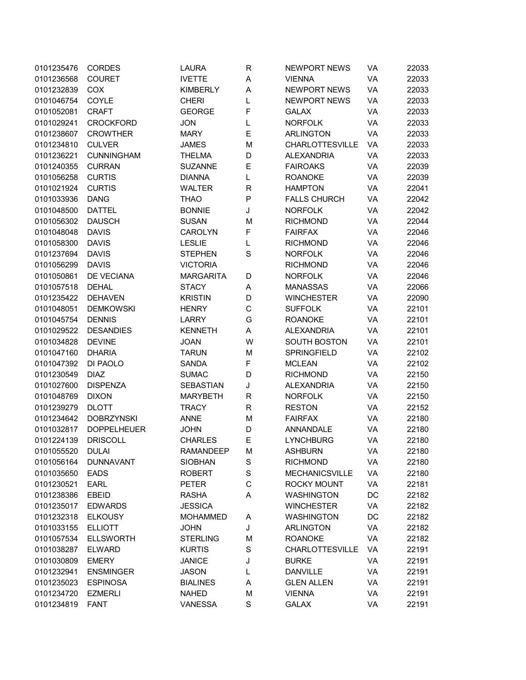| VA<br>22033<br>VA<br>22033<br>VA<br>22033 |
|-------------------------------------------|
|                                           |
|                                           |
|                                           |
| VA<br>22033                               |
| VA<br>22033                               |
| VA<br>22033                               |
| VA<br>22033                               |
| VA<br>22033                               |
| VA<br>22039                               |
| VA<br>22039                               |
| 22041<br>VA                               |
| VA<br>22042                               |
| 22042<br>VA                               |
| 22044<br>VA                               |
| VA<br>22046                               |
| VA<br>22046                               |
| VA<br>22046                               |
| VA<br>22046                               |
| VA<br>22046                               |
| VA<br>22066                               |
| VA<br>22090                               |
| VA<br>22101                               |
| VA<br>22101                               |
| VA<br>22101                               |
| VA<br>22101                               |
| VA<br>22102                               |
| VA<br>22102                               |
| VA<br>22150                               |
| VA<br>22150                               |
| VA<br>22150                               |
| VA<br>22152                               |
| VA<br>22180                               |
| VA<br>22180                               |
| VA<br>22180                               |
| VA<br>22180                               |
| VA<br>22180                               |
| VA<br>22180                               |
| VA<br>22181                               |
| DC<br>22182                               |
| VA<br>22182                               |
| DC<br>22182                               |
| VA<br>22182                               |
| VA<br>22182                               |
|                                           |
|                                           |
| VA<br>22191                               |
| VA<br>22191                               |
| VA<br>22191                               |
| VA<br>22191<br>VA<br>22191                |
|                                           |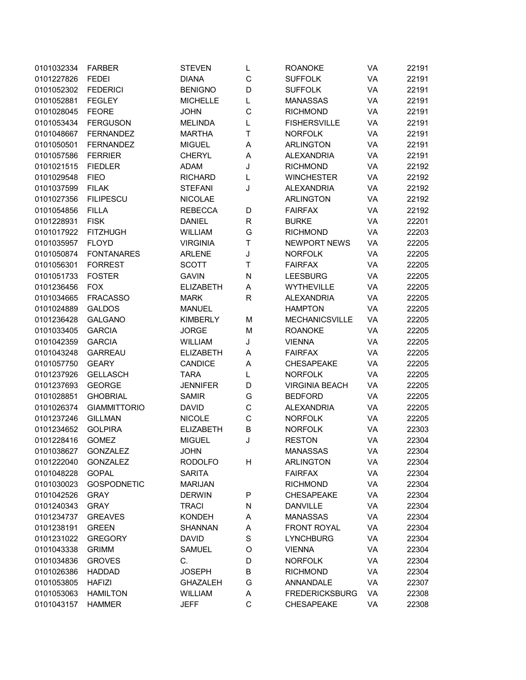| 0101032334               | <b>FARBER</b>                    | <b>STEVEN</b>    | L       | <b>ROANOKE</b>        | VA | 22191 |
|--------------------------|----------------------------------|------------------|---------|-----------------------|----|-------|
| 0101227826               | <b>FEDEI</b>                     | <b>DIANA</b>     | C       | <b>SUFFOLK</b>        | VA | 22191 |
| 0101052302               | <b>FEDERICI</b>                  | <b>BENIGNO</b>   | D       | <b>SUFFOLK</b>        | VA | 22191 |
| 0101052881               | <b>FEGLEY</b>                    | <b>MICHELLE</b>  | L       | <b>MANASSAS</b>       | VA | 22191 |
| 0101028045               | <b>FEORE</b>                     | <b>JOHN</b>      | C       | <b>RICHMOND</b>       | VA | 22191 |
| 0101053434               | <b>FERGUSON</b>                  | <b>MELINDA</b>   | L       | <b>FISHERSVILLE</b>   | VA | 22191 |
| 0101048667               | <b>FERNANDEZ</b>                 | <b>MARTHA</b>    | Т       | <b>NORFOLK</b>        | VA | 22191 |
| 0101050501               | <b>FERNANDEZ</b>                 | <b>MIGUEL</b>    | Α       | <b>ARLINGTON</b>      | VA | 22191 |
| 0101057586               | <b>FERRIER</b>                   | <b>CHERYL</b>    | A       | <b>ALEXANDRIA</b>     | VA | 22191 |
| 0101021515               | <b>FIEDLER</b>                   | <b>ADAM</b>      | J       | <b>RICHMOND</b>       | VA | 22192 |
| 0101029548               | <b>FIEO</b>                      | <b>RICHARD</b>   | L       | <b>WINCHESTER</b>     | VA | 22192 |
| 0101037599               | <b>FILAK</b>                     | <b>STEFANI</b>   | J       | <b>ALEXANDRIA</b>     | VA | 22192 |
| 0101027356               | <b>FILIPESCU</b>                 | <b>NICOLAE</b>   |         | <b>ARLINGTON</b>      | VA | 22192 |
| 0101054856               | <b>FILLA</b>                     | <b>REBECCA</b>   | D       | <b>FAIRFAX</b>        | VA | 22192 |
| 0101228931               | <b>FISK</b>                      | <b>DANIEL</b>    | R       | <b>BURKE</b>          | VA | 22201 |
| 0101017922               | <b>FITZHUGH</b>                  | <b>WILLIAM</b>   | G       | <b>RICHMOND</b>       | VA | 22203 |
| 0101035957               | <b>FLOYD</b>                     | <b>VIRGINIA</b>  | Т       | NEWPORT NEWS          | VA | 22205 |
| 0101050874               | <b>FONTANARES</b>                | <b>ARLENE</b>    | J       | <b>NORFOLK</b>        | VA | 22205 |
| 0101056301               | <b>FORREST</b>                   | <b>SCOTT</b>     | Τ       | <b>FAIRFAX</b>        | VA | 22205 |
| 0101051733               | <b>FOSTER</b>                    | <b>GAVIN</b>     | N       | <b>LEESBURG</b>       | VA | 22205 |
| 0101236456               | <b>FOX</b>                       | <b>ELIZABETH</b> | A       | <b>WYTHEVILLE</b>     | VA | 22205 |
| 0101034665               | <b>FRACASSO</b>                  | <b>MARK</b>      | R       | <b>ALEXANDRIA</b>     | VA | 22205 |
| 0101024889               | <b>GALDOS</b>                    | <b>MANUEL</b>    |         | <b>HAMPTON</b>        | VA | 22205 |
| 0101236428               | <b>GALGANO</b>                   | <b>KIMBERLY</b>  | M       | <b>MECHANICSVILLE</b> | VA | 22205 |
| 0101033405               | <b>GARCIA</b>                    | <b>JORGE</b>     | M       | <b>ROANOKE</b>        | VA | 22205 |
| 0101042359               | <b>GARCIA</b>                    | WILLIAM          | J       | <b>VIENNA</b>         | VA | 22205 |
| 0101043248               | <b>GARREAU</b>                   | <b>ELIZABETH</b> | Α       | <b>FAIRFAX</b>        | VA | 22205 |
| 0101057750               | <b>GEARY</b>                     | CANDICE          | А       | <b>CHESAPEAKE</b>     | VA | 22205 |
| 0101237926               | <b>GELLASCH</b>                  | <b>TARA</b>      | L       | <b>NORFOLK</b>        | VA | 22205 |
| 0101237693               | <b>GEORGE</b>                    | <b>JENNIFER</b>  | D       | <b>VIRGINIA BEACH</b> | VA | 22205 |
| 0101028851               | <b>GHOBRIAL</b>                  | <b>SAMIR</b>     | G       | <b>BEDFORD</b>        | VA | 22205 |
| 0101026374               | <b>GIAMMITTORIO</b>              | <b>DAVID</b>     | C       | <b>ALEXANDRIA</b>     | VA | 22205 |
| 0101237246               | <b>GILLMAN</b>                   | <b>NICOLE</b>    | C       | <b>NORFOLK</b>        | VA | 22205 |
| 0101234652               | <b>GOLPIRA</b>                   | <b>ELIZABETH</b> | В       | <b>NORFOLK</b>        | VA | 22303 |
| 0101228416               | <b>GOMEZ</b>                     | <b>MIGUEL</b>    | J       | <b>RESTON</b>         | VA | 22304 |
| 0101038627               | <b>GONZALEZ</b>                  | <b>JOHN</b>      |         | <b>MANASSAS</b>       | VA | 22304 |
| 0101222040               | <b>GONZALEZ</b>                  | <b>RODOLFO</b>   | Н       | <b>ARLINGTON</b>      | VA | 22304 |
| 0101048228               | <b>GOPAL</b>                     | <b>SARITA</b>    |         | <b>FAIRFAX</b>        | VA | 22304 |
| 0101030023               | <b>GOSPODNETIC</b>               | <b>MARIJAN</b>   |         | <b>RICHMOND</b>       | VA | 22304 |
| 0101042526               | <b>GRAY</b>                      | <b>DERWIN</b>    | P       | <b>CHESAPEAKE</b>     | VA | 22304 |
| 0101240343               | <b>GRAY</b>                      | <b>TRACI</b>     | N       | <b>DANVILLE</b>       | VA | 22304 |
| 0101234737               | <b>GREAVES</b>                   | <b>KONDEH</b>    | Α       | <b>MANASSAS</b>       | VA | 22304 |
| 0101238191               | <b>GREEN</b>                     | <b>SHANNAN</b>   | А       | <b>FRONT ROYAL</b>    | VA | 22304 |
| 0101231022               | <b>GREGORY</b>                   | <b>DAVID</b>     | $\rm S$ | <b>LYNCHBURG</b>      | VA | 22304 |
| 0101043338               | <b>GRIMM</b>                     | <b>SAMUEL</b>    | O       | <b>VIENNA</b>         | VA | 22304 |
| 0101034836               | <b>GROVES</b>                    | С.               | D       | <b>NORFOLK</b>        | VA | 22304 |
| 0101026386               |                                  | <b>JOSEPH</b>    | В       | <b>RICHMOND</b>       | VA | 22304 |
|                          | <b>HADDAD</b>                    | <b>GHAZALEH</b>  | G       | ANNANDALE             | VA | 22307 |
| 0101053805<br>0101053063 | <b>HAFIZI</b><br><b>HAMILTON</b> | WILLIAM          |         | <b>FREDERICKSBURG</b> |    | 22308 |
|                          |                                  |                  | Α<br>C  |                       | VA |       |
| 0101043157               | <b>HAMMER</b>                    | <b>JEFF</b>      |         | <b>CHESAPEAKE</b>     | VA | 22308 |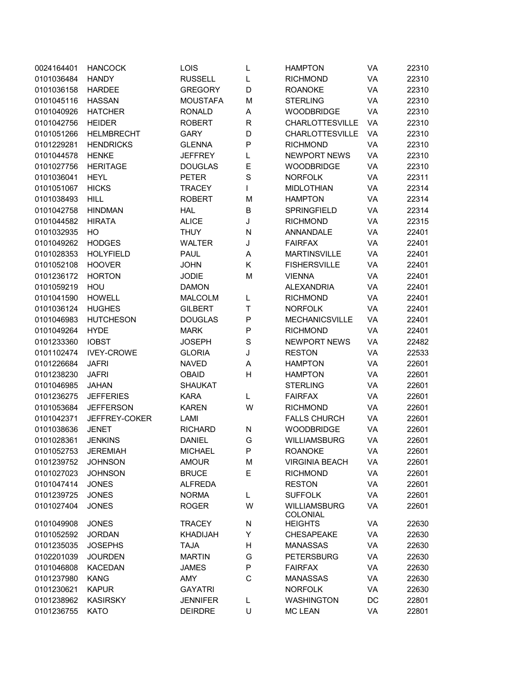| 0024164401 | <b>HANCOCK</b>    | LOIS            | L            | <b>HAMPTON</b>                         | VA | 22310 |
|------------|-------------------|-----------------|--------------|----------------------------------------|----|-------|
| 0101036484 | <b>HANDY</b>      | <b>RUSSELL</b>  | L            | <b>RICHMOND</b>                        | VA | 22310 |
| 0101036158 | <b>HARDEE</b>     | <b>GREGORY</b>  | D            | <b>ROANOKE</b>                         | VA | 22310 |
| 0101045116 | <b>HASSAN</b>     | <b>MOUSTAFA</b> | M            | <b>STERLING</b>                        | VA | 22310 |
| 0101040926 | <b>HATCHER</b>    | <b>RONALD</b>   | Α            | <b>WOODBRIDGE</b>                      | VA | 22310 |
| 0101042756 | <b>HEIDER</b>     | <b>ROBERT</b>   | R            | CHARLOTTESVILLE                        | VA | 22310 |
| 0101051266 | <b>HELMBRECHT</b> | <b>GARY</b>     | D            | <b>CHARLOTTESVILLE</b>                 | VA | 22310 |
| 0101229281 | <b>HENDRICKS</b>  | <b>GLENNA</b>   | P            | <b>RICHMOND</b>                        | VA | 22310 |
| 0101044578 | <b>HENKE</b>      | <b>JEFFREY</b>  | L            | <b>NEWPORT NEWS</b>                    | VA | 22310 |
| 0101027756 | <b>HERITAGE</b>   | <b>DOUGLAS</b>  | Е            | <b>WOODBRIDGE</b>                      | VA | 22310 |
| 0101036041 | <b>HEYL</b>       | <b>PETER</b>    | S            | <b>NORFOLK</b>                         | VA | 22311 |
| 0101051067 | <b>HICKS</b>      | <b>TRACEY</b>   | L            | <b>MIDLOTHIAN</b>                      | VA | 22314 |
| 0101038493 | <b>HILL</b>       | <b>ROBERT</b>   | M            | <b>HAMPTON</b>                         | VA | 22314 |
| 0101042758 | <b>HINDMAN</b>    | <b>HAL</b>      | B            | <b>SPRINGFIELD</b>                     | VA | 22314 |
| 0101044582 | <b>HIRATA</b>     | <b>ALICE</b>    | J            | <b>RICHMOND</b>                        | VA | 22315 |
| 0101032935 | HO                | <b>THUY</b>     | N            | ANNANDALE                              | VA | 22401 |
| 0101049262 | <b>HODGES</b>     | <b>WALTER</b>   | J            | <b>FAIRFAX</b>                         | VA | 22401 |
| 0101028353 | <b>HOLYFIELD</b>  | <b>PAUL</b>     | Α            | <b>MARTINSVILLE</b>                    | VA | 22401 |
| 0101052108 | <b>HOOVER</b>     | <b>JOHN</b>     | Κ            | <b>FISHERSVILLE</b>                    | VA | 22401 |
| 0101236172 |                   |                 |              |                                        | VA |       |
|            | <b>HORTON</b>     | <b>JODIE</b>    | M            | <b>VIENNA</b>                          |    | 22401 |
| 0101059219 | HOU               | <b>DAMON</b>    |              | <b>ALEXANDRIA</b>                      | VA | 22401 |
| 0101041590 | <b>HOWELL</b>     | <b>MALCOLM</b>  | L            | <b>RICHMOND</b>                        | VA | 22401 |
| 0101036124 | <b>HUGHES</b>     | <b>GILBERT</b>  | Τ            | <b>NORFOLK</b>                         | VA | 22401 |
| 0101046983 | <b>HUTCHESON</b>  | <b>DOUGLAS</b>  | P            | <b>MECHANICSVILLE</b>                  | VA | 22401 |
| 0101049264 | <b>HYDE</b>       | <b>MARK</b>     | P            | <b>RICHMOND</b>                        | VA | 22401 |
| 0101233360 | <b>IOBST</b>      | <b>JOSEPH</b>   | $\mathbf S$  | <b>NEWPORT NEWS</b>                    | VA | 22482 |
| 0101102474 | <b>IVEY-CROWE</b> | <b>GLORIA</b>   | J            | <b>RESTON</b>                          | VA | 22533 |
| 0101226684 | <b>JAFRI</b>      | <b>NAVED</b>    | Α            | <b>HAMPTON</b>                         | VA | 22601 |
| 0101238230 | <b>JAFRI</b>      | <b>OBAID</b>    | Η            | <b>HAMPTON</b>                         | VA | 22601 |
| 0101046985 | <b>JAHAN</b>      | <b>SHAUKAT</b>  |              | <b>STERLING</b>                        | VA | 22601 |
| 0101236275 | <b>JEFFERIES</b>  | <b>KARA</b>     | L            | <b>FAIRFAX</b>                         | VA | 22601 |
| 0101053684 | <b>JEFFERSON</b>  | <b>KAREN</b>    | W            | <b>RICHMOND</b>                        | VA | 22601 |
| 0101042371 | JEFFREY-COKER     | LAMI            |              | <b>FALLS CHURCH</b>                    | VA | 22601 |
| 0101038636 | <b>JENET</b>      | <b>RICHARD</b>  | N            | <b>WOODBRIDGE</b>                      | VA | 22601 |
| 0101028361 | <b>JENKINS</b>    | <b>DANIEL</b>   | G            | <b>WILLIAMSBURG</b>                    | VA | 22601 |
| 0101052753 | JEREMIAH          | <b>MICHAEL</b>  | P            | <b>ROANOKE</b>                         | VA | 22601 |
| 0101239752 | <b>JOHNSON</b>    | <b>AMOUR</b>    | M            | <b>VIRGINIA BEACH</b>                  | VA | 22601 |
| 0101027023 | <b>JOHNSON</b>    | <b>BRUCE</b>    | E            | <b>RICHMOND</b>                        | VA | 22601 |
| 0101047414 | <b>JONES</b>      | <b>ALFREDA</b>  |              | <b>RESTON</b>                          | VA | 22601 |
| 0101239725 | <b>JONES</b>      | <b>NORMA</b>    | L            | <b>SUFFOLK</b>                         | VA | 22601 |
| 0101027404 | <b>JONES</b>      | <b>ROGER</b>    | W            | <b>WILLIAMSBURG</b><br><b>COLONIAL</b> | VA | 22601 |
| 0101049908 | <b>JONES</b>      | <b>TRACEY</b>   | N            | <b>HEIGHTS</b>                         | VA | 22630 |
| 0101052592 | <b>JORDAN</b>     | <b>KHADIJAH</b> | Υ            | <b>CHESAPEAKE</b>                      | VA | 22630 |
| 0101235035 | <b>JOSEPHS</b>    | <b>TAJA</b>     | Н            | <b>MANASSAS</b>                        | VA | 22630 |
| 0102201039 | <b>JOURDEN</b>    | <b>MARTIN</b>   | G            | <b>PETERSBURG</b>                      | VA | 22630 |
| 0101046808 | <b>KACEDAN</b>    | <b>JAMES</b>    | P            | <b>FAIRFAX</b>                         | VA | 22630 |
| 0101237980 | <b>KANG</b>       | AMY             | $\mathsf{C}$ | <b>MANASSAS</b>                        | VA | 22630 |
| 0101230621 | <b>KAPUR</b>      | <b>GAYATRI</b>  |              | <b>NORFOLK</b>                         | VA | 22630 |
| 0101238962 | <b>KASIRSKY</b>   | <b>JENNIFER</b> | L            | <b>WASHINGTON</b>                      | DC | 22801 |
| 0101236755 | <b>KATO</b>       | <b>DEIRDRE</b>  | U            | <b>MC LEAN</b>                         | VA | 22801 |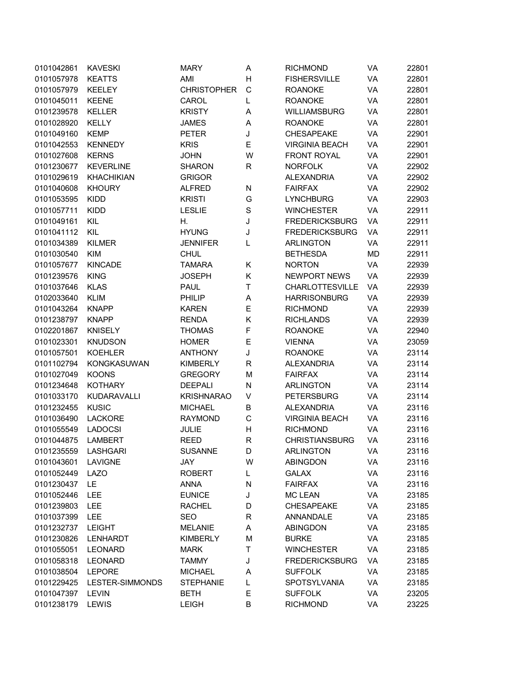| 0101042861               | <b>KAVESKI</b>                 | <b>MARY</b>                      | А           | <b>RICHMOND</b>        | VA        | 22801 |
|--------------------------|--------------------------------|----------------------------------|-------------|------------------------|-----------|-------|
| 0101057978               | <b>KEATTS</b>                  | AMI                              | Н           | <b>FISHERSVILLE</b>    | VA        | 22801 |
| 0101057979               | <b>KEELEY</b>                  | <b>CHRISTOPHER</b>               | C           | <b>ROANOKE</b>         | VA        | 22801 |
| 0101045011               | <b>KEENE</b>                   | CAROL                            | L           | <b>ROANOKE</b>         | VA        | 22801 |
| 0101239578               | <b>KELLER</b>                  | <b>KRISTY</b>                    | A           | WILLIAMSBURG           | VA        | 22801 |
| 0101028920               | <b>KELLY</b>                   | <b>JAMES</b>                     | Α           | <b>ROANOKE</b>         | VA        | 22801 |
| 0101049160               | <b>KEMP</b>                    | <b>PETER</b>                     | J           | <b>CHESAPEAKE</b>      | VA        | 22901 |
| 0101042553               | <b>KENNEDY</b>                 | <b>KRIS</b>                      | E           | <b>VIRGINIA BEACH</b>  | VA        | 22901 |
| 0101027608               | <b>KERNS</b>                   | <b>JOHN</b>                      | W           | <b>FRONT ROYAL</b>     | VA        | 22901 |
| 0101230677               | <b>KEVERLINE</b>               | <b>SHARON</b>                    | R           | <b>NORFOLK</b>         | VA        | 22902 |
| 0101029619               | <b>KHACHIKIAN</b>              | <b>GRIGOR</b>                    |             | <b>ALEXANDRIA</b>      | VA        | 22902 |
| 0101040608               | <b>KHOURY</b>                  | <b>ALFRED</b>                    | N           | <b>FAIRFAX</b>         | VA        | 22902 |
| 0101053595               | <b>KIDD</b>                    | <b>KRISTI</b>                    | G           | <b>LYNCHBURG</b>       | VA        | 22903 |
| 0101057711               | <b>KIDD</b>                    | <b>LESLIE</b>                    | $\mathbf S$ | <b>WINCHESTER</b>      | VA        | 22911 |
| 0101049161               | KIL                            | Н.                               | J           | <b>FREDERICKSBURG</b>  | VA        | 22911 |
| 0101041112               | KIL                            | <b>HYUNG</b>                     | J           | <b>FREDERICKSBURG</b>  | VA        | 22911 |
| 0101034389               | <b>KILMER</b>                  | <b>JENNIFER</b>                  | L           | <b>ARLINGTON</b>       | VA        | 22911 |
| 0101030540               | <b>KIM</b>                     | <b>CHUL</b>                      |             | <b>BETHESDA</b>        | <b>MD</b> | 22911 |
| 0101057677               | <b>KINCADE</b>                 | <b>TAMARA</b>                    | Κ           | <b>NORTON</b>          | VA        | 22939 |
| 0101239576               | <b>KING</b>                    | <b>JOSEPH</b>                    | Κ           | <b>NEWPORT NEWS</b>    | VA        | 22939 |
| 0101037646               | <b>KLAS</b>                    | <b>PAUL</b>                      | T           | <b>CHARLOTTESVILLE</b> | VA        | 22939 |
| 0102033640               | <b>KLIM</b>                    | PHILIP                           | Α           | <b>HARRISONBURG</b>    | VA        | 22939 |
| 0101043264               | <b>KNAPP</b>                   | <b>KAREN</b>                     | E           | <b>RICHMOND</b>        | VA        | 22939 |
| 0101238797               | <b>KNAPP</b>                   | <b>RENDA</b>                     | Κ           | <b>RICHLANDS</b>       | VA        | 22939 |
| 0102201867               | <b>KNISELY</b>                 | <b>THOMAS</b>                    | F           | <b>ROANOKE</b>         | VA        | 22940 |
| 0101023301               | <b>KNUDSON</b>                 | <b>HOMER</b>                     | E           | <b>VIENNA</b>          | VA        | 23059 |
| 0101057501               | <b>KOEHLER</b>                 | <b>ANTHONY</b>                   | J           | <b>ROANOKE</b>         | VA        | 23114 |
| 0101102794               | <b>KONGKASUWAN</b>             | <b>KIMBERLY</b>                  | R           | <b>ALEXANDRIA</b>      | VA        | 23114 |
| 0101027049               | <b>KOONS</b>                   | <b>GREGORY</b>                   | M           | <b>FAIRFAX</b>         | VA        | 23114 |
| 0101234648               | <b>KOTHARY</b>                 | <b>DEEPALI</b>                   | N           | <b>ARLINGTON</b>       | VA        | 23114 |
| 0101033170               | <b>KUDARAVALLI</b>             | <b>KRISHNARAO</b>                | V           | <b>PETERSBURG</b>      | VA        | 23114 |
|                          |                                |                                  |             |                        |           |       |
| 0101232455<br>0101036490 | <b>KUSIC</b><br><b>LACKORE</b> | <b>MICHAEL</b><br><b>RAYMOND</b> | B           | <b>ALEXANDRIA</b>      | VA        | 23116 |
|                          |                                |                                  | C           | <b>VIRGINIA BEACH</b>  | VA        | 23116 |
| 0101055549               | <b>LADOCSI</b>                 | JULIE                            | Н           | <b>RICHMOND</b>        | VA        | 23116 |
| 0101044875               | <b>LAMBERT</b>                 | <b>REED</b>                      | $\mathsf R$ | <b>CHRISTIANSBURG</b>  | VA        | 23116 |
| 0101235559               | LASHGARI                       | <b>SUSANNE</b>                   | D           | ARLINGTON              | VA        | 23116 |
| 0101043601               | LAVIGNE                        | JAY                              | W           | <b>ABINGDON</b>        | VA        | 23116 |
| 0101052449               | <b>LAZO</b>                    | <b>ROBERT</b>                    | L           | <b>GALAX</b>           | VA        | 23116 |
| 0101230437               | LE                             | <b>ANNA</b>                      | N           | <b>FAIRFAX</b>         | VA        | 23116 |
| 0101052446               | LEE                            | <b>EUNICE</b>                    | J           | <b>MC LEAN</b>         | VA        | 23185 |
| 0101239803               | <b>LEE</b>                     | <b>RACHEL</b>                    | D           | <b>CHESAPEAKE</b>      | VA        | 23185 |
| 0101037399               | LEE                            | SEO                              | R           | ANNANDALE              | VA        | 23185 |
| 0101232737               | <b>LEIGHT</b>                  | <b>MELANIE</b>                   | А           | <b>ABINGDON</b>        | VA        | 23185 |
| 0101230826               | <b>LENHARDT</b>                | <b>KIMBERLY</b>                  | M           | <b>BURKE</b>           | VA        | 23185 |
| 0101055051               | <b>LEONARD</b>                 | <b>MARK</b>                      | T           | <b>WINCHESTER</b>      | VA        | 23185 |
| 0101058318               | <b>LEONARD</b>                 | <b>TAMMY</b>                     | J           | <b>FREDERICKSBURG</b>  | VA        | 23185 |
| 0101038504               | <b>LEPORE</b>                  | <b>MICHAEL</b>                   | Α           | <b>SUFFOLK</b>         | VA        | 23185 |
| 0101229425               | LESTER-SIMMONDS                | <b>STEPHANIE</b>                 | L           | SPOTSYLVANIA           | VA        | 23185 |
| 0101047397               | <b>LEVIN</b>                   | BETH                             | Е           | <b>SUFFOLK</b>         | VA        | 23205 |
| 0101238179               | LEWIS                          | <b>LEIGH</b>                     | B           | <b>RICHMOND</b>        | VA        | 23225 |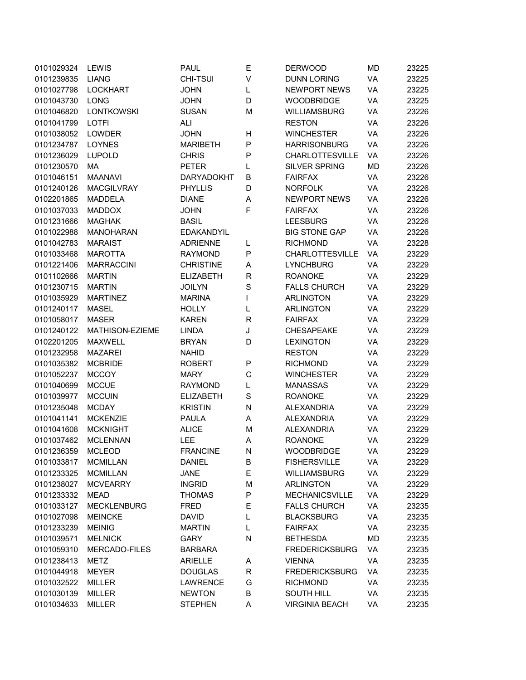| 0101029324 | <b>LEWIS</b>         | <b>PAUL</b>       | Е           | <b>DERWOOD</b>         | MD        | 23225 |
|------------|----------------------|-------------------|-------------|------------------------|-----------|-------|
| 0101239835 | <b>LIANG</b>         | <b>CHI-TSUI</b>   | V           | <b>DUNN LORING</b>     | VA        | 23225 |
| 0101027798 | <b>LOCKHART</b>      | <b>JOHN</b>       | L           | <b>NEWPORT NEWS</b>    | VA        | 23225 |
| 0101043730 | <b>LONG</b>          | <b>JOHN</b>       | D           | <b>WOODBRIDGE</b>      | VA        | 23225 |
| 0101046820 | <b>LONTKOWSKI</b>    | <b>SUSAN</b>      | M           | <b>WILLIAMSBURG</b>    | VA        | 23226 |
| 0101041799 | <b>LOTFI</b>         | <b>ALI</b>        |             | <b>RESTON</b>          | VA        | 23226 |
| 0101038052 | <b>LOWDER</b>        | <b>JOHN</b>       | н           | <b>WINCHESTER</b>      | VA        | 23226 |
| 0101234787 | <b>LOYNES</b>        | <b>MARIBETH</b>   | P           | <b>HARRISONBURG</b>    | VA        | 23226 |
| 0101236029 | <b>LUPOLD</b>        | <b>CHRIS</b>      | P           | <b>CHARLOTTESVILLE</b> | VA        | 23226 |
| 0101230570 | MA                   | <b>PETER</b>      | L           | <b>SILVER SPRING</b>   | <b>MD</b> | 23226 |
| 0101046151 | <b>MAANAVI</b>       | <b>DARYADOKHT</b> | B           | <b>FAIRFAX</b>         | VA        | 23226 |
| 0101240126 | <b>MACGILVRAY</b>    | <b>PHYLLIS</b>    | D           | <b>NORFOLK</b>         | VA        | 23226 |
| 0102201865 | <b>MADDELA</b>       | <b>DIANE</b>      | Α           | <b>NEWPORT NEWS</b>    | VA        | 23226 |
| 0101037033 | <b>MADDOX</b>        | <b>JOHN</b>       | F           | <b>FAIRFAX</b>         | VA        | 23226 |
| 0101231666 | <b>MAGHAK</b>        | <b>BASIL</b>      |             | <b>LEESBURG</b>        | VA        | 23226 |
| 0101022988 | <b>MANOHARAN</b>     | <b>EDAKANDYIL</b> |             | <b>BIG STONE GAP</b>   | VA        | 23226 |
| 0101042783 | <b>MARAIST</b>       | <b>ADRIENNE</b>   | L           | <b>RICHMOND</b>        | VA        | 23228 |
| 0101033468 | <b>MAROTTA</b>       | <b>RAYMOND</b>    | P           | <b>CHARLOTTESVILLE</b> | VA        | 23229 |
| 0101221406 | <b>MARRACCINI</b>    | <b>CHRISTINE</b>  | Α           | <b>LYNCHBURG</b>       | <b>VA</b> | 23229 |
| 0101102666 | <b>MARTIN</b>        | <b>ELIZABETH</b>  | R           | <b>ROANOKE</b>         | VA        | 23229 |
| 0101230715 | <b>MARTIN</b>        | <b>JOILYN</b>     | S           | <b>FALLS CHURCH</b>    | VA        | 23229 |
| 0101035929 | <b>MARTINEZ</b>      | <b>MARINA</b>     | I           | <b>ARLINGTON</b>       | VA        | 23229 |
| 0101240117 | <b>MASEL</b>         | <b>HOLLY</b>      | L           | <b>ARLINGTON</b>       | VA        | 23229 |
| 0101058017 | <b>MASER</b>         | <b>KAREN</b>      | R           | <b>FAIRFAX</b>         | VA        | 23229 |
| 0101240122 | MATHISON-EZIEME      | <b>LINDA</b>      | J           | <b>CHESAPEAKE</b>      | VA        | 23229 |
| 0102201205 | <b>MAXWELL</b>       | <b>BRYAN</b>      | D           | <b>LEXINGTON</b>       | VA        | 23229 |
| 0101232958 | <b>MAZAREI</b>       | <b>NAHID</b>      |             | <b>RESTON</b>          | VA        | 23229 |
| 0101035382 | <b>MCBRIDE</b>       | <b>ROBERT</b>     | P           | <b>RICHMOND</b>        | VA        | 23229 |
| 0101052237 | <b>MCCOY</b>         | <b>MARY</b>       | C           | <b>WINCHESTER</b>      | VA        | 23229 |
| 0101040699 | <b>MCCUE</b>         | <b>RAYMOND</b>    | L           | <b>MANASSAS</b>        | VA        | 23229 |
| 0101039977 | <b>MCCUIN</b>        | <b>ELIZABETH</b>  | S           | <b>ROANOKE</b>         | VA        | 23229 |
| 0101235048 | <b>MCDAY</b>         | <b>KRISTIN</b>    | ${\sf N}$   | <b>ALEXANDRIA</b>      | VA        | 23229 |
| 0101041141 | <b>MCKENZIE</b>      | <b>PAULA</b>      | Α           | <b>ALEXANDRIA</b>      | VA        | 23229 |
| 0101041608 | <b>MCKNIGHT</b>      | <b>ALICE</b>      | M           | <b>ALEXANDRIA</b>      | VA        | 23229 |
| 0101037462 | <b>MCLENNAN</b>      | LEE               | Α           | <b>ROANOKE</b>         | VA        | 23229 |
| 0101236359 | <b>MCLEOD</b>        | <b>FRANCINE</b>   | N           | <b>WOODBRIDGE</b>      | VA        | 23229 |
| 0101033817 | <b>MCMILLAN</b>      | <b>DANIEL</b>     | B           | <b>FISHERSVILLE</b>    | VA        | 23229 |
| 0101233325 | <b>MCMILLAN</b>      | <b>JANE</b>       | E           | WILLIAMSBURG           | VA        | 23229 |
| 0101238027 | <b>MCVEARRY</b>      | <b>INGRID</b>     | M           | <b>ARLINGTON</b>       | VA        | 23229 |
| 0101233332 | <b>MEAD</b>          | <b>THOMAS</b>     | P           | <b>MECHANICSVILLE</b>  | VA        | 23229 |
| 0101033127 | <b>MECKLENBURG</b>   | <b>FRED</b>       | Е           | <b>FALLS CHURCH</b>    | VA        | 23235 |
| 0101027098 | <b>MEINCKE</b>       | <b>DAVID</b>      | L           | <b>BLACKSBURG</b>      | VA        | 23235 |
| 0101233239 | <b>MEINIG</b>        | <b>MARTIN</b>     | L           | <b>FAIRFAX</b>         | VA        | 23235 |
| 0101039571 | <b>MELNICK</b>       | <b>GARY</b>       | N           | <b>BETHESDA</b>        | MD        | 23235 |
| 0101059310 | <b>MERCADO-FILES</b> | <b>BARBARA</b>    |             | <b>FREDERICKSBURG</b>  | VA        | 23235 |
| 0101238413 | <b>METZ</b>          | <b>ARIELLE</b>    | Α           | <b>VIENNA</b>          | VA        | 23235 |
| 0101044918 | <b>MEYER</b>         | <b>DOUGLAS</b>    | $\mathsf R$ | <b>FREDERICKSBURG</b>  | VA        | 23235 |
| 0101032522 | <b>MILLER</b>        | <b>LAWRENCE</b>   | G           | <b>RICHMOND</b>        | VA        | 23235 |
| 0101030139 | <b>MILLER</b>        | <b>NEWTON</b>     | B           | <b>SOUTH HILL</b>      | VA        | 23235 |
| 0101034633 | <b>MILLER</b>        | <b>STEPHEN</b>    | Α           | <b>VIRGINIA BEACH</b>  | VA        | 23235 |
|            |                      |                   |             |                        |           |       |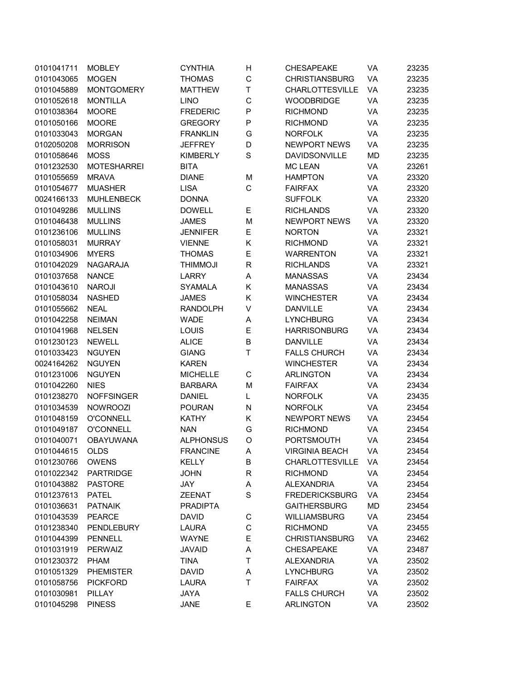| 0101041711 | <b>MOBLEY</b>      | <b>CYNTHIA</b>   | Н           | <b>CHESAPEAKE</b>      | VA        | 23235 |
|------------|--------------------|------------------|-------------|------------------------|-----------|-------|
| 0101043065 | <b>MOGEN</b>       | <b>THOMAS</b>    | C           | <b>CHRISTIANSBURG</b>  | VA        | 23235 |
| 0101045889 | <b>MONTGOMERY</b>  | <b>MATTHEW</b>   | Т           | <b>CHARLOTTESVILLE</b> | VA        | 23235 |
| 0101052618 | <b>MONTILLA</b>    | <b>LINO</b>      | $\mathsf C$ | <b>WOODBRIDGE</b>      | VA        | 23235 |
| 0101038364 | <b>MOORE</b>       | <b>FREDERIC</b>  | P           | <b>RICHMOND</b>        | VA        | 23235 |
| 0101050166 | <b>MOORE</b>       | <b>GREGORY</b>   | P           | <b>RICHMOND</b>        | VA        | 23235 |
| 0101033043 | <b>MORGAN</b>      | <b>FRANKLIN</b>  | G           | <b>NORFOLK</b>         | VA        | 23235 |
| 0102050208 | <b>MORRISON</b>    | <b>JEFFREY</b>   | D           | <b>NEWPORT NEWS</b>    | VA        | 23235 |
| 0101058646 | <b>MOSS</b>        | <b>KIMBERLY</b>  | S           | DAVIDSONVILLE          | <b>MD</b> | 23235 |
| 0101232530 | <b>MOTESHARREI</b> | <b>BITA</b>      |             | <b>MC LEAN</b>         | VA        | 23261 |
| 0101055659 | <b>MRAVA</b>       | <b>DIANE</b>     | M           | <b>HAMPTON</b>         | VA        | 23320 |
| 0101054677 | <b>MUASHER</b>     | <b>LISA</b>      | C           | <b>FAIRFAX</b>         | VA        | 23320 |
| 0024166133 | <b>MUHLENBECK</b>  | <b>DONNA</b>     |             | <b>SUFFOLK</b>         | VA        | 23320 |
| 0101049286 | <b>MULLINS</b>     | <b>DOWELL</b>    | Ε           | <b>RICHLANDS</b>       | VA        | 23320 |
| 0101046438 | <b>MULLINS</b>     | <b>JAMES</b>     | M           | <b>NEWPORT NEWS</b>    | VA        | 23320 |
| 0101236106 | <b>MULLINS</b>     | <b>JENNIFER</b>  | Е           | <b>NORTON</b>          | VA        | 23321 |
| 0101058031 | <b>MURRAY</b>      | <b>VIENNE</b>    | Κ           | <b>RICHMOND</b>        | VA        | 23321 |
| 0101034906 | <b>MYERS</b>       | <b>THOMAS</b>    | E           | <b>WARRENTON</b>       | VA        | 23321 |
| 0101042029 | <b>NAGARAJA</b>    | <b>ILOMINIHT</b> | R           | <b>RICHLANDS</b>       | VA        | 23321 |
| 0101037658 | <b>NANCE</b>       | <b>LARRY</b>     | Α           | <b>MANASSAS</b>        | VA        | 23434 |
| 0101043610 | <b>NAROJI</b>      | <b>SYAMALA</b>   | Κ           | <b>MANASSAS</b>        | VA        | 23434 |
| 0101058034 | <b>NASHED</b>      | <b>JAMES</b>     | Κ           | <b>WINCHESTER</b>      | VA        | 23434 |
| 0101055662 | <b>NEAL</b>        | <b>RANDOLPH</b>  | V           | <b>DANVILLE</b>        | VA        | 23434 |
| 0101042258 | <b>NEIMAN</b>      | <b>WADE</b>      | Α           | <b>LYNCHBURG</b>       | VA        | 23434 |
| 0101041968 | <b>NELSEN</b>      | LOUIS            | Е           | <b>HARRISONBURG</b>    | VA        | 23434 |
| 0101230123 | <b>NEWELL</b>      | <b>ALICE</b>     | B           | <b>DANVILLE</b>        | VA        | 23434 |
| 0101033423 | <b>NGUYEN</b>      | <b>GIANG</b>     | Τ           | <b>FALLS CHURCH</b>    | VA        | 23434 |
| 0024164262 | <b>NGUYEN</b>      | <b>KAREN</b>     |             | <b>WINCHESTER</b>      | VA        | 23434 |
| 0101231006 | <b>NGUYEN</b>      | <b>MICHELLE</b>  | C           | <b>ARLINGTON</b>       | VA        | 23434 |
| 0101042260 | <b>NIES</b>        | <b>BARBARA</b>   | M           | <b>FAIRFAX</b>         | VA        | 23434 |
| 0101238270 | <b>NOFFSINGER</b>  | <b>DANIEL</b>    | L           | <b>NORFOLK</b>         | VA        | 23435 |
| 0101034539 | <b>NOWROOZI</b>    | <b>POURAN</b>    | N           | <b>NORFOLK</b>         | VA        | 23454 |
| 0101048159 | <b>O'CONNELL</b>   | <b>KATHY</b>     | Κ           | <b>NEWPORT NEWS</b>    | VA        | 23454 |
| 0101049187 | <b>O'CONNELL</b>   | <b>NAN</b>       | G           | <b>RICHMOND</b>        | VA        | 23454 |
| 0101040071 | <b>OBAYUWANA</b>   | <b>ALPHONSUS</b> | O           | <b>PORTSMOUTH</b>      | VA        | 23454 |
| 0101044615 | <b>OLDS</b>        | <b>FRANCINE</b>  | Α           | <b>VIRGINIA BEACH</b>  | VA        | 23454 |
| 0101230766 | <b>OWENS</b>       | <b>KELLY</b>     | B           | <b>CHARLOTTESVILLE</b> | VA        | 23454 |
| 0101022342 | <b>PARTRIDGE</b>   | <b>JOHN</b>      | R           | <b>RICHMOND</b>        | VA        | 23454 |
| 0101043882 | <b>PASTORE</b>     | JAY              | A           | <b>ALEXANDRIA</b>      | VA        | 23454 |
| 0101237613 | <b>PATEL</b>       | <b>ZEENAT</b>    | $\mathbf S$ | <b>FREDERICKSBURG</b>  | VA        | 23454 |
| 0101036631 | <b>PATNAIK</b>     | <b>PRADIPTA</b>  |             | <b>GAITHERSBURG</b>    | <b>MD</b> | 23454 |
| 0101043539 | <b>PEARCE</b>      | <b>DAVID</b>     | C           | WILLIAMSBURG           | VA        | 23454 |
| 0101238340 | <b>PENDLEBURY</b>  | <b>LAURA</b>     | C           | <b>RICHMOND</b>        | VA        | 23455 |
| 0101044399 | <b>PENNELL</b>     | <b>WAYNE</b>     | Е           | <b>CHRISTIANSBURG</b>  | VA        | 23462 |
| 0101031919 | <b>PERWAIZ</b>     | <b>JAVAID</b>    | Α           | <b>CHESAPEAKE</b>      | VA        | 23487 |
| 0101230372 | <b>PHAM</b>        | <b>TINA</b>      | Τ           | <b>ALEXANDRIA</b>      | VA        | 23502 |
| 0101051329 | <b>PHEMISTER</b>   | <b>DAVID</b>     | Α           | <b>LYNCHBURG</b>       | VA        | 23502 |
| 0101058756 | <b>PICKFORD</b>    | LAURA            | Τ           | <b>FAIRFAX</b>         | VA        | 23502 |
| 0101030981 | PILLAY             |                  |             | <b>FALLS CHURCH</b>    | VA        |       |
|            |                    | JAYA             |             |                        |           | 23502 |
| 0101045298 | <b>PINESS</b>      | <b>JANE</b>      | Е           | <b>ARLINGTON</b>       | VA        | 23502 |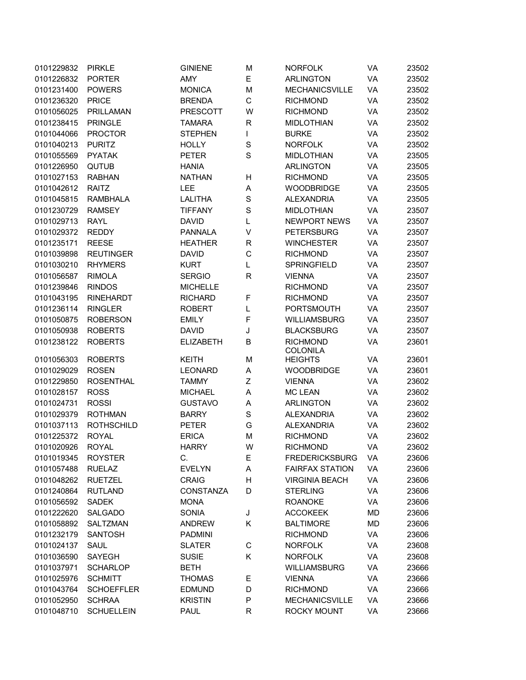| 0101229832 | <b>PIRKLE</b>     | <b>GINIENE</b>   | M           | <b>NORFOLK</b>                    | VA        | 23502 |
|------------|-------------------|------------------|-------------|-----------------------------------|-----------|-------|
| 0101226832 | <b>PORTER</b>     | AMY              | E           | <b>ARLINGTON</b>                  | VA        | 23502 |
| 0101231400 | <b>POWERS</b>     | <b>MONICA</b>    | M           | <b>MECHANICSVILLE</b>             | VA        | 23502 |
| 0101236320 | <b>PRICE</b>      | <b>BRENDA</b>    | C           | <b>RICHMOND</b>                   | VA        | 23502 |
| 0101056025 | <b>PRILLAMAN</b>  | <b>PRESCOTT</b>  | W           | <b>RICHMOND</b>                   | VA        | 23502 |
| 0101238415 | <b>PRINGLE</b>    | <b>TAMARA</b>    | R           | <b>MIDLOTHIAN</b>                 | VA        | 23502 |
| 0101044066 | <b>PROCTOR</b>    | <b>STEPHEN</b>   | L           | <b>BURKE</b>                      | VA        | 23502 |
| 0101040213 | <b>PURITZ</b>     | <b>HOLLY</b>     | $\mathbf S$ | <b>NORFOLK</b>                    | VA        | 23502 |
| 0101055569 | <b>PYATAK</b>     | <b>PETER</b>     | S           | <b>MIDLOTHIAN</b>                 | VA        | 23505 |
| 0101226950 | QUTUB             | <b>HANIA</b>     |             | <b>ARLINGTON</b>                  | VA        | 23505 |
| 0101027153 | <b>RABHAN</b>     | <b>NATHAN</b>    | Η           | <b>RICHMOND</b>                   | VA        | 23505 |
| 0101042612 | RAITZ             | <b>LEE</b>       | Α           | <b>WOODBRIDGE</b>                 | VA        | 23505 |
| 0101045815 | <b>RAMBHALA</b>   | <b>LALITHA</b>   | $\mathbf S$ | <b>ALEXANDRIA</b>                 | VA        | 23505 |
| 0101230729 | <b>RAMSEY</b>     | <b>TIFFANY</b>   | $\mathbf S$ | <b>MIDLOTHIAN</b>                 | VA        | 23507 |
| 0101029713 | <b>RAYL</b>       | <b>DAVID</b>     | L           | <b>NEWPORT NEWS</b>               | VA        | 23507 |
| 0101029372 | <b>REDDY</b>      | <b>PANNALA</b>   | V           | <b>PETERSBURG</b>                 | VA        | 23507 |
| 0101235171 | <b>REESE</b>      | <b>HEATHER</b>   | R           | <b>WINCHESTER</b>                 | VA        | 23507 |
| 0101039898 | <b>REUTINGER</b>  | <b>DAVID</b>     | $\mathsf C$ | <b>RICHMOND</b>                   | VA        | 23507 |
| 0101030210 | <b>RHYMERS</b>    | <b>KURT</b>      | L           | <b>SPRINGFIELD</b>                | VA        | 23507 |
|            |                   |                  |             |                                   | VA        |       |
| 0101056587 | <b>RIMOLA</b>     | <b>SERGIO</b>    | R           | <b>VIENNA</b>                     |           | 23507 |
| 0101239846 | <b>RINDOS</b>     | <b>MICHELLE</b>  |             | <b>RICHMOND</b>                   | VA        | 23507 |
| 0101043195 | <b>RINEHARDT</b>  | <b>RICHARD</b>   | F           | <b>RICHMOND</b>                   | VA        | 23507 |
| 0101236114 | <b>RINGLER</b>    | <b>ROBERT</b>    | L           | <b>PORTSMOUTH</b>                 | VA        | 23507 |
| 0101050875 | <b>ROBERSON</b>   | <b>EMILY</b>     | F           | WILLIAMSBURG                      | VA        | 23507 |
| 0101050938 | <b>ROBERTS</b>    | <b>DAVID</b>     | J           | <b>BLACKSBURG</b>                 | VA        | 23507 |
| 0101238122 | <b>ROBERTS</b>    | <b>ELIZABETH</b> | B           | <b>RICHMOND</b>                   | VA        | 23601 |
| 0101056303 | <b>ROBERTS</b>    | <b>KEITH</b>     | M           | <b>COLONILA</b><br><b>HEIGHTS</b> | VA        | 23601 |
| 0101029029 | <b>ROSEN</b>      | <b>LEONARD</b>   | A           | <b>WOODBRIDGE</b>                 | VA        | 23601 |
| 0101229850 | <b>ROSENTHAL</b>  | <b>TAMMY</b>     | Z           | <b>VIENNA</b>                     | VA        | 23602 |
| 0101028157 | <b>ROSS</b>       | <b>MICHAEL</b>   | A           | <b>MC LEAN</b>                    | VA        | 23602 |
| 0101024731 | <b>ROSSI</b>      | <b>GUSTAVO</b>   | Α           | <b>ARLINGTON</b>                  | VA        | 23602 |
| 0101029379 | <b>ROTHMAN</b>    | <b>BARRY</b>     | $\mathbf S$ | <b>ALEXANDRIA</b>                 | VA        | 23602 |
| 0101037113 | <b>ROTHSCHILD</b> | <b>PETER</b>     | G           | <b>ALEXANDRIA</b>                 | VA        | 23602 |
| 0101225372 | <b>ROYAL</b>      | <b>ERICA</b>     | M           | <b>RICHMOND</b>                   | VA        | 23602 |
| 0101020926 | <b>ROYAL</b>      | <b>HARRY</b>     | W           | <b>RICHMOND</b>                   | VA        | 23602 |
|            |                   | C.               |             |                                   |           |       |
| 0101019345 | <b>ROYSTER</b>    |                  | Е           | <b>FREDERICKSBURG</b>             | VA        | 23606 |
| 0101057488 | <b>RUELAZ</b>     | <b>EVELYN</b>    | А           | <b>FAIRFAX STATION</b>            | VA        | 23606 |
| 0101048262 | <b>RUETZEL</b>    | <b>CRAIG</b>     | н           | <b>VIRGINIA BEACH</b>             | VA        | 23606 |
| 0101240864 | <b>RUTLAND</b>    | CONSTANZA        | D           | <b>STERLING</b>                   | VA        | 23606 |
| 0101056592 | <b>SADEK</b>      | <b>MONA</b>      |             | <b>ROANOKE</b>                    | VA        | 23606 |
| 0101222620 | <b>SALGADO</b>    | <b>SONIA</b>     | J           | <b>ACCOKEEK</b>                   | <b>MD</b> | 23606 |
| 0101058892 | SALTZMAN          | <b>ANDREW</b>    | Κ           | <b>BALTIMORE</b>                  | <b>MD</b> | 23606 |
| 0101232179 | <b>SANTOSH</b>    | <b>PADMINI</b>   |             | <b>RICHMOND</b>                   | VA        | 23606 |
| 0101024137 | <b>SAUL</b>       | <b>SLATER</b>    | C           | <b>NORFOLK</b>                    | VA        | 23608 |
| 0101036590 | SAYEGH            | <b>SUSIE</b>     | Κ           | <b>NORFOLK</b>                    | VA        | 23608 |
| 0101037971 | <b>SCHARLOP</b>   | <b>BETH</b>      |             | <b>WILLIAMSBURG</b>               | VA        | 23666 |
| 0101025976 | <b>SCHMITT</b>    | <b>THOMAS</b>    | Е           | <b>VIENNA</b>                     | VA        | 23666 |
| 0101043764 | <b>SCHOEFFLER</b> | <b>EDMUND</b>    | D           | <b>RICHMOND</b>                   | VA        | 23666 |
| 0101052950 | <b>SCHRAA</b>     | <b>KRISTIN</b>   | Ρ           | <b>MECHANICSVILLE</b>             | VA        | 23666 |
| 0101048710 | <b>SCHUELLEIN</b> | <b>PAUL</b>      | R           | ROCKY MOUNT                       | VA        | 23666 |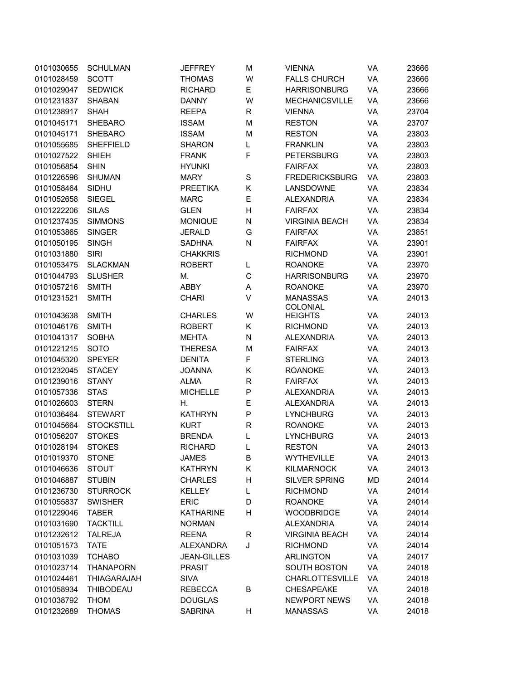| 0101030655 | <b>SCHULMAN</b>    | <b>JEFFREY</b>     | M                | <b>VIENNA</b>                      | VA        | 23666 |
|------------|--------------------|--------------------|------------------|------------------------------------|-----------|-------|
| 0101028459 | <b>SCOTT</b>       | <b>THOMAS</b>      | W                | <b>FALLS CHURCH</b>                | VA        | 23666 |
| 0101029047 | <b>SEDWICK</b>     | <b>RICHARD</b>     | E                | <b>HARRISONBURG</b>                | VA        | 23666 |
| 0101231837 | <b>SHABAN</b>      | <b>DANNY</b>       | W                | <b>MECHANICSVILLE</b>              | VA        | 23666 |
| 0101238917 | <b>SHAH</b>        | <b>REEPA</b>       | R                | <b>VIENNA</b>                      | VA        | 23704 |
| 0101045171 | <b>SHEBARO</b>     | <b>ISSAM</b>       | M                | <b>RESTON</b>                      | VA        | 23707 |
| 0101045171 | <b>SHEBARO</b>     | <b>ISSAM</b>       | M                | <b>RESTON</b>                      | VA        | 23803 |
| 0101055685 | <b>SHEFFIELD</b>   | <b>SHARON</b>      | L                | <b>FRANKLIN</b>                    | VA        | 23803 |
| 0101027522 | <b>SHIEH</b>       | <b>FRANK</b>       | F                | <b>PETERSBURG</b>                  | VA        | 23803 |
| 0101056854 | <b>SHIN</b>        | <b>HYUNKI</b>      |                  | <b>FAIRFAX</b>                     | VA        | 23803 |
| 0101226596 | <b>SHUMAN</b>      | <b>MARY</b>        | S                | <b>FREDERICKSBURG</b>              | VA        | 23803 |
| 0101058464 | SIDHU              | <b>PREETIKA</b>    | Κ                | LANSDOWNE                          | VA        | 23834 |
| 0101052658 | <b>SIEGEL</b>      | <b>MARC</b>        | E                | <b>ALEXANDRIA</b>                  | VA        | 23834 |
| 0101222206 | <b>SILAS</b>       | <b>GLEN</b>        | Η                | <b>FAIRFAX</b>                     | VA        | 23834 |
| 0101237435 | <b>SIMMONS</b>     | <b>MONIQUE</b>     | N                | <b>VIRGINIA BEACH</b>              | VA        | 23834 |
| 0101053865 | <b>SINGER</b>      | <b>JERALD</b>      | G                | <b>FAIRFAX</b>                     | VA        | 23851 |
| 0101050195 | <b>SINGH</b>       | <b>SADHNA</b>      | N                | <b>FAIRFAX</b>                     | VA        | 23901 |
| 0101031880 | <b>SIRI</b>        | <b>CHAKKRIS</b>    |                  | <b>RICHMOND</b>                    | VA        | 23901 |
| 0101053475 | <b>SLACKMAN</b>    | <b>ROBERT</b>      |                  | <b>ROANOKE</b>                     | VA        | 23970 |
|            |                    |                    | L<br>$\mathsf C$ |                                    |           | 23970 |
| 0101044793 | <b>SLUSHER</b>     | М.                 |                  | <b>HARRISONBURG</b>                | VA        |       |
| 0101057216 | <b>SMITH</b>       | ABBY               | А                | <b>ROANOKE</b>                     | VA        | 23970 |
| 0101231521 | <b>SMITH</b>       | <b>CHARI</b>       | V                | <b>MANASSAS</b><br><b>COLONIAL</b> | VA        | 24013 |
| 0101043638 | <b>SMITH</b>       | <b>CHARLES</b>     | W                | <b>HEIGHTS</b>                     | VA        | 24013 |
| 0101046176 | <b>SMITH</b>       | <b>ROBERT</b>      | Κ                | <b>RICHMOND</b>                    | VA        | 24013 |
| 0101041317 | <b>SOBHA</b>       | <b>MEHTA</b>       | N                | <b>ALEXANDRIA</b>                  | VA        | 24013 |
| 0101221215 | <b>SOTO</b>        | <b>THERESA</b>     | M                | <b>FAIRFAX</b>                     | VA        | 24013 |
| 0101045320 | <b>SPEYER</b>      | <b>DENITA</b>      | F                | <b>STERLING</b>                    | VA        | 24013 |
| 0101232045 | <b>STACEY</b>      | <b>JOANNA</b>      | Κ                | <b>ROANOKE</b>                     | VA        | 24013 |
| 0101239016 | <b>STANY</b>       | <b>ALMA</b>        | $\mathsf R$      | <b>FAIRFAX</b>                     | VA        | 24013 |
| 0101057336 | <b>STAS</b>        | <b>MICHELLE</b>    | P                | <b>ALEXANDRIA</b>                  | VA        | 24013 |
| 0101026603 | <b>STERN</b>       | Η.                 | E                | <b>ALEXANDRIA</b>                  | VA        | 24013 |
| 0101036464 | <b>STEWART</b>     | <b>KATHRYN</b>     | P                | <b>LYNCHBURG</b>                   | VA        | 24013 |
| 0101045664 | <b>STOCKSTILL</b>  | <b>KURT</b>        | R                | <b>ROANOKE</b>                     | VA        | 24013 |
| 0101056207 | <b>STOKES</b>      | <b>BRENDA</b>      | L                | <b>LYNCHBURG</b>                   | VA        | 24013 |
| 0101028194 | <b>STOKES</b>      | <b>RICHARD</b>     |                  | <b>RESTON</b>                      | <b>VA</b> | 24013 |
| 0101019370 | <b>STONE</b>       | JAMES              | В                | WYTHEVILLE                         | VA        | 24013 |
| 0101046636 | <b>STOUT</b>       | <b>KATHRYN</b>     | Κ                | <b>KILMARNOCK</b>                  | VA        | 24013 |
| 0101046887 | <b>STUBIN</b>      | <b>CHARLES</b>     | Н                | <b>SILVER SPRING</b>               | <b>MD</b> | 24014 |
| 0101236730 | <b>STURROCK</b>    | <b>KELLEY</b>      | L                | <b>RICHMOND</b>                    | VA        | 24014 |
| 0101055837 | <b>SWISHER</b>     | <b>ERIC</b>        | D                | <b>ROANOKE</b>                     | VA        | 24014 |
| 0101229046 | <b>TABER</b>       |                    | Н                | <b>WOODBRIDGE</b>                  | VA        | 24014 |
|            | <b>TACKTILL</b>    | <b>KATHARINE</b>   |                  | <b>ALEXANDRIA</b>                  | VA        | 24014 |
| 0101031690 |                    | <b>NORMAN</b>      |                  |                                    |           |       |
| 0101232612 | <b>TALREJA</b>     | <b>REENA</b>       | R                | <b>VIRGINIA BEACH</b>              | VA        | 24014 |
| 0101051573 | <b>TATE</b>        | ALEXANDRA          | J                | <b>RICHMOND</b>                    | VA        | 24014 |
| 0101031039 | <b>TCHABO</b>      | <b>JEAN-GILLES</b> |                  | <b>ARLINGTON</b>                   | VA        | 24017 |
| 0101023714 | <b>THANAPORN</b>   | <b>PRASIT</b>      |                  | <b>SOUTH BOSTON</b>                | VA        | 24018 |
| 0101024461 | <b>THIAGARAJAH</b> | <b>SIVA</b>        |                  | <b>CHARLOTTESVILLE</b>             | VA        | 24018 |
| 0101058934 | THIBODEAU          | <b>REBECCA</b>     | B                | <b>CHESAPEAKE</b>                  | VA        | 24018 |
| 0101038792 | <b>THOM</b>        | <b>DOUGLAS</b>     |                  | <b>NEWPORT NEWS</b>                | VA        | 24018 |
| 0101232689 | <b>THOMAS</b>      | <b>SABRINA</b>     | Н                | <b>MANASSAS</b>                    | VA        | 24018 |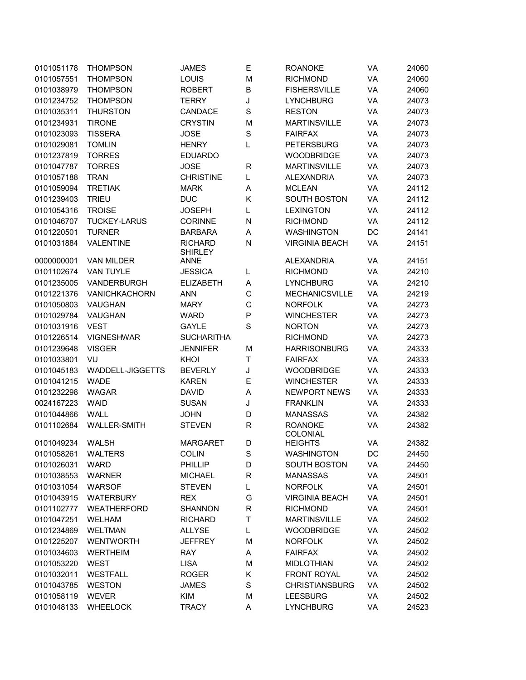| 0101051178 | <b>THOMPSON</b>      | <b>JAMES</b>                     | Ε           | <b>ROANOKE</b>             | VA | 24060 |
|------------|----------------------|----------------------------------|-------------|----------------------------|----|-------|
| 0101057551 | <b>THOMPSON</b>      | LOUIS                            | M           | <b>RICHMOND</b>            | VA | 24060 |
| 0101038979 | <b>THOMPSON</b>      | <b>ROBERT</b>                    | B           | <b>FISHERSVILLE</b>        | VA | 24060 |
| 0101234752 | <b>THOMPSON</b>      | <b>TERRY</b>                     | J           | <b>LYNCHBURG</b>           | VA | 24073 |
| 0101035311 | <b>THURSTON</b>      | CANDACE                          | S           | <b>RESTON</b>              | VA | 24073 |
| 0101234931 | <b>TIRONE</b>        | <b>CRYSTIN</b>                   | M           | <b>MARTINSVILLE</b>        | VA | 24073 |
| 0101023093 | <b>TISSERA</b>       | <b>JOSE</b>                      | $\rm S$     | <b>FAIRFAX</b>             | VA | 24073 |
| 0101029081 | <b>TOMLIN</b>        | <b>HENRY</b>                     | L           | <b>PETERSBURG</b>          | VA | 24073 |
| 0101237819 | <b>TORRES</b>        | <b>EDUARDO</b>                   |             | <b>WOODBRIDGE</b>          | VA | 24073 |
| 0101047787 | <b>TORRES</b>        | <b>JOSE</b>                      | R           | <b>MARTINSVILLE</b>        | VA | 24073 |
| 0101057188 | <b>TRAN</b>          | <b>CHRISTINE</b>                 | L           | <b>ALEXANDRIA</b>          | VA | 24073 |
| 0101059094 | <b>TRETIAK</b>       | <b>MARK</b>                      | Α           | <b>MCLEAN</b>              | VA | 24112 |
| 0101239403 | <b>TRIEU</b>         | <b>DUC</b>                       | Κ           | <b>SOUTH BOSTON</b>        | VA | 24112 |
| 0101054316 | <b>TROISE</b>        | <b>JOSEPH</b>                    | L           | <b>LEXINGTON</b>           | VA | 24112 |
| 0101046707 | <b>TUCKEY-LARUS</b>  | <b>CORINNE</b>                   | N           | <b>RICHMOND</b>            | VA | 24112 |
| 0101220501 | <b>TURNER</b>        | <b>BARBARA</b>                   | Α           | <b>WASHINGTON</b>          | DC | 24141 |
| 0101031884 | <b>VALENTINE</b>     | <b>RICHARD</b><br><b>SHIRLEY</b> | N           | <b>VIRGINIA BEACH</b>      | VA | 24151 |
| 0000000001 | <b>VAN MILDER</b>    | <b>ANNE</b>                      |             | <b>ALEXANDRIA</b>          | VA | 24151 |
| 0101102674 | <b>VAN TUYLE</b>     | <b>JESSICA</b>                   | L           | <b>RICHMOND</b>            | VA | 24210 |
| 0101235005 | VANDERBURGH          | <b>ELIZABETH</b>                 | Α           | <b>LYNCHBURG</b>           | VA | 24210 |
| 0101221376 | <b>VANICHKACHORN</b> | <b>ANN</b>                       | C           | <b>MECHANICSVILLE</b>      | VA | 24219 |
| 0101050803 | <b>VAUGHAN</b>       | <b>MARY</b>                      | C           | <b>NORFOLK</b>             | VA | 24273 |
| 0101029784 | <b>VAUGHAN</b>       | <b>WARD</b>                      | P           | <b>WINCHESTER</b>          | VA | 24273 |
| 0101031916 | <b>VEST</b>          | GAYLE                            | S           | <b>NORTON</b>              | VA | 24273 |
| 0101226514 | <b>VIGNESHWAR</b>    | <b>SUCHARITHA</b>                |             | <b>RICHMOND</b>            | VA | 24273 |
| 0101239648 | <b>VISGER</b>        | <b>JENNIFER</b>                  | M           | <b>HARRISONBURG</b>        | VA | 24333 |
| 0101033801 | VU                   | KHOI                             | Т           | <b>FAIRFAX</b>             | VA | 24333 |
| 0101045183 | WADDELL-JIGGETTS     | <b>BEVERLY</b>                   | J           | <b>WOODBRIDGE</b>          | VA | 24333 |
| 0101041215 | <b>WADE</b>          | <b>KAREN</b>                     | E           | <b>WINCHESTER</b>          | VA | 24333 |
| 0101232298 | <b>WAGAR</b>         | <b>DAVID</b>                     | A           | <b>NEWPORT NEWS</b>        | VA | 24333 |
| 0024167223 | <b>WAID</b>          | <b>SUSAN</b>                     | J           | <b>FRANKLIN</b>            | VA | 24333 |
| 0101044866 | WALL                 | <b>JOHN</b>                      | D           | <b>MANASSAS</b>            | VA | 24382 |
| 0101102684 | <b>WALLER-SMITH</b>  | <b>STEVEN</b>                    | R           | <b>ROANOKE</b><br>COLONIAL | VA | 24382 |
| 0101049234 | <b>WALSH</b>         | MARGARET                         | D           | <b>HEIGHTS</b>             | VA | 24382 |
| 0101058261 | <b>WALTERS</b>       | <b>COLIN</b>                     | S           | <b>WASHINGTON</b>          | DC | 24450 |
| 0101026031 | <b>WARD</b>          | PHILLIP                          | D           | <b>SOUTH BOSTON</b>        | VA | 24450 |
| 0101038553 | <b>WARNER</b>        | <b>MICHAEL</b>                   | $\mathsf R$ | <b>MANASSAS</b>            | VA | 24501 |
| 0101031054 | <b>WARSOF</b>        | <b>STEVEN</b>                    | L           | <b>NORFOLK</b>             | VA | 24501 |
| 0101043915 | <b>WATERBURY</b>     | <b>REX</b>                       | G           | <b>VIRGINIA BEACH</b>      | VA | 24501 |
| 0101102777 | WEATHERFORD          | <b>SHANNON</b>                   | R           | <b>RICHMOND</b>            | VA | 24501 |
| 0101047251 | WELHAM               | <b>RICHARD</b>                   | Τ           | <b>MARTINSVILLE</b>        | VA | 24502 |
| 0101234869 | <b>WELTMAN</b>       | ALLYSE                           | L           | <b>WOODBRIDGE</b>          | VA | 24502 |
| 0101225207 | <b>WENTWORTH</b>     | <b>JEFFREY</b>                   | M           | <b>NORFOLK</b>             | VA | 24502 |
| 0101034603 | <b>WERTHEIM</b>      | <b>RAY</b>                       | Α           | <b>FAIRFAX</b>             | VA | 24502 |
| 0101053220 | WEST                 | <b>LISA</b>                      | M           | <b>MIDLOTHIAN</b>          | VA | 24502 |
| 0101032011 | WESTFALL             | <b>ROGER</b>                     | Κ           | <b>FRONT ROYAL</b>         | VA | 24502 |
| 0101043785 | <b>WESTON</b>        | JAMES                            | S           | <b>CHRISTIANSBURG</b>      | VA | 24502 |
| 0101058119 | <b>WEVER</b>         | KIM                              | M           | <b>LEESBURG</b>            | VA | 24502 |
| 0101048133 | <b>WHEELOCK</b>      | <b>TRACY</b>                     | Α           | <b>LYNCHBURG</b>           | VA | 24523 |